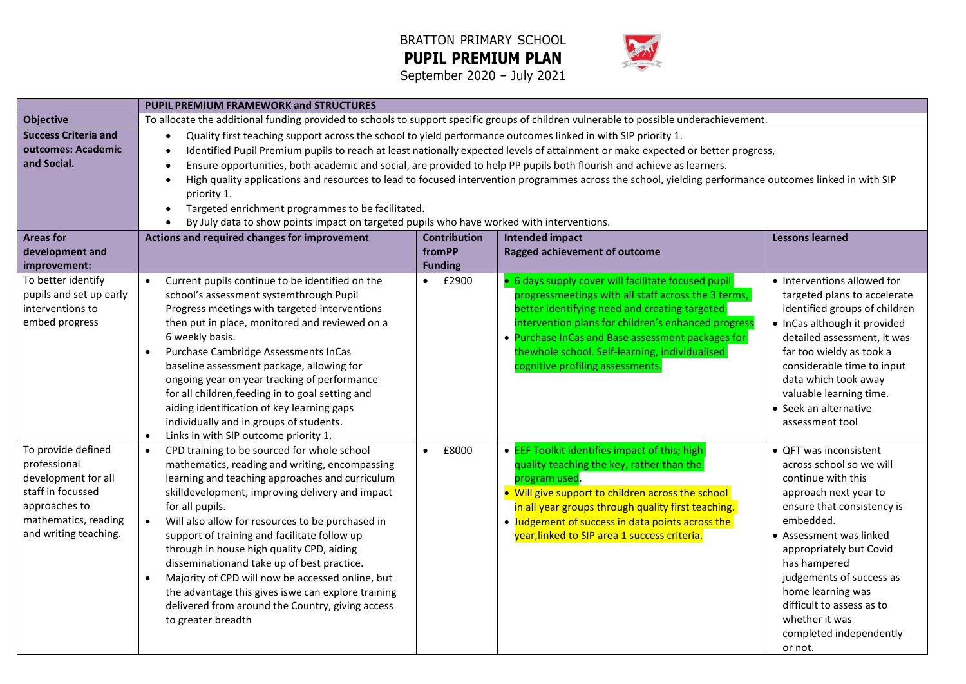



|                             | <b>PUPIL PREMIUM FRAMEWORK and STRUCTURES</b>                                                                                          |                    |                                                                                                                                                        |                               |  |  |  |  |  |  |
|-----------------------------|----------------------------------------------------------------------------------------------------------------------------------------|--------------------|--------------------------------------------------------------------------------------------------------------------------------------------------------|-------------------------------|--|--|--|--|--|--|
| <b>Objective</b>            | To allocate the additional funding provided to schools to support specific groups of children vulnerable to possible underachievement. |                    |                                                                                                                                                        |                               |  |  |  |  |  |  |
| <b>Success Criteria and</b> | Quality first teaching support across the school to yield performance outcomes linked in with SIP priority 1.                          |                    |                                                                                                                                                        |                               |  |  |  |  |  |  |
| outcomes: Academic          | $\bullet$                                                                                                                              |                    | Identified Pupil Premium pupils to reach at least nationally expected levels of attainment or make expected or better progress,                        |                               |  |  |  |  |  |  |
| and Social.                 | Ensure opportunities, both academic and social, are provided to help PP pupils both flourish and achieve as learners.                  |                    |                                                                                                                                                        |                               |  |  |  |  |  |  |
|                             |                                                                                                                                        |                    | High quality applications and resources to lead to focused intervention programmes across the school, yielding performance outcomes linked in with SIP |                               |  |  |  |  |  |  |
|                             | priority 1.                                                                                                                            |                    |                                                                                                                                                        |                               |  |  |  |  |  |  |
|                             | Targeted enrichment programmes to be facilitated.<br>$\bullet$                                                                         |                    |                                                                                                                                                        |                               |  |  |  |  |  |  |
|                             | By July data to show points impact on targeted pupils who have worked with interventions.<br>$\bullet$                                 |                    |                                                                                                                                                        |                               |  |  |  |  |  |  |
| <b>Areas for</b>            | Actions and required changes for improvement<br><b>Lessons learned</b><br><b>Contribution</b><br><b>Intended impact</b>                |                    |                                                                                                                                                        |                               |  |  |  |  |  |  |
| development and             |                                                                                                                                        | fromPP             | Ragged achievement of outcome                                                                                                                          |                               |  |  |  |  |  |  |
| improvement:                |                                                                                                                                        | <b>Funding</b>     |                                                                                                                                                        |                               |  |  |  |  |  |  |
| To better identify          | Current pupils continue to be identified on the<br>$\bullet$                                                                           | £2900<br>$\bullet$ | • 6 days supply cover will facilitate focused pupil                                                                                                    | • Interventions allowed for   |  |  |  |  |  |  |
| pupils and set up early     | school's assessment systemthrough Pupil                                                                                                |                    | progressmeetings with all staff across the 3 terms,                                                                                                    | targeted plans to accelerate  |  |  |  |  |  |  |
| interventions to            | Progress meetings with targeted interventions                                                                                          |                    | better identifying need and creating targeted                                                                                                          | identified groups of children |  |  |  |  |  |  |
| embed progress              | then put in place, monitored and reviewed on a                                                                                         |                    | intervention plans for children's enhanced progress                                                                                                    | • InCas although it provided  |  |  |  |  |  |  |
|                             | 6 weekly basis.                                                                                                                        |                    | • Purchase InCas and Base assessment packages for                                                                                                      | detailed assessment, it was   |  |  |  |  |  |  |
|                             | Purchase Cambridge Assessments InCas<br>$\bullet$                                                                                      |                    | thewhole school. Self-learning, individualised                                                                                                         | far too wieldy as took a      |  |  |  |  |  |  |
|                             | baseline assessment package, allowing for                                                                                              |                    | cognitive profiling assessments.                                                                                                                       | considerable time to input    |  |  |  |  |  |  |
|                             | ongoing year on year tracking of performance                                                                                           |                    |                                                                                                                                                        | data which took away          |  |  |  |  |  |  |
|                             | for all children, feeding in to goal setting and                                                                                       |                    |                                                                                                                                                        | valuable learning time.       |  |  |  |  |  |  |
|                             | aiding identification of key learning gaps                                                                                             |                    |                                                                                                                                                        | • Seek an alternative         |  |  |  |  |  |  |
|                             | individually and in groups of students.<br>$\bullet$                                                                                   |                    |                                                                                                                                                        | assessment tool               |  |  |  |  |  |  |
| To provide defined          | Links in with SIP outcome priority 1.<br>CPD training to be sourced for whole school<br>$\bullet$                                      | £8000<br>$\bullet$ | • <b>EEF Toolkit identifies impact of this; high</b>                                                                                                   | • QFT was inconsistent        |  |  |  |  |  |  |
| professional                | mathematics, reading and writing, encompassing                                                                                         |                    | quality teaching the key, rather than the                                                                                                              | across school so we will      |  |  |  |  |  |  |
| development for all         | learning and teaching approaches and curriculum                                                                                        |                    | program used.                                                                                                                                          | continue with this            |  |  |  |  |  |  |
| staff in focussed           | • Will give support to children across the school<br>skilldevelopment, improving delivery and impact<br>approach next year to          |                    |                                                                                                                                                        |                               |  |  |  |  |  |  |
| approaches to               | for all pupils.<br>in all year groups through quality first teaching.<br>ensure that consistency is                                    |                    |                                                                                                                                                        |                               |  |  |  |  |  |  |
| mathematics, reading        | Will also allow for resources to be purchased in<br>$\bullet$                                                                          |                    | • Judgement of success in data points across the                                                                                                       | embedded.                     |  |  |  |  |  |  |
| and writing teaching.       | support of training and facilitate follow up                                                                                           |                    | year, linked to SIP area 1 success criteria.                                                                                                           | • Assessment was linked       |  |  |  |  |  |  |
|                             | through in house high quality CPD, aiding                                                                                              |                    |                                                                                                                                                        | appropriately but Covid       |  |  |  |  |  |  |
|                             | disseminationand take up of best practice.                                                                                             |                    |                                                                                                                                                        | has hampered                  |  |  |  |  |  |  |
|                             | Majority of CPD will now be accessed online, but<br>$\bullet$                                                                          |                    |                                                                                                                                                        | judgements of success as      |  |  |  |  |  |  |
|                             | the advantage this gives is we can explore training                                                                                    |                    |                                                                                                                                                        | home learning was             |  |  |  |  |  |  |
|                             | delivered from around the Country, giving access                                                                                       |                    |                                                                                                                                                        | difficult to assess as to     |  |  |  |  |  |  |
|                             | to greater breadth                                                                                                                     |                    |                                                                                                                                                        | whether it was                |  |  |  |  |  |  |
|                             |                                                                                                                                        |                    |                                                                                                                                                        | completed independently       |  |  |  |  |  |  |
|                             |                                                                                                                                        |                    |                                                                                                                                                        | or not.                       |  |  |  |  |  |  |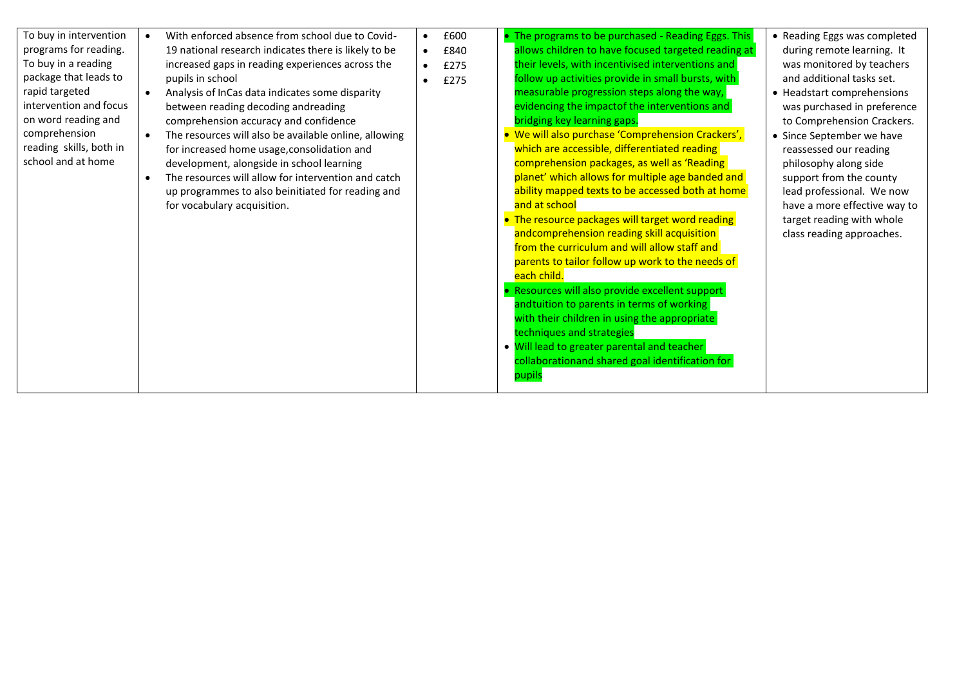| To buy in intervention<br>programs for reading.<br>To buy in a reading<br>package that leads to<br>rapid targeted<br>intervention and focus<br>on word reading and<br>comprehension<br>reading skills, both in<br>school and at home | $\bullet$<br>$\bullet$<br>$\bullet$<br>$\bullet$ | With enforced absence from school due to Covid-<br>19 national research indicates there is likely to be<br>increased gaps in reading experiences across the<br>pupils in school<br>Analysis of InCas data indicates some disparity<br>between reading decoding andreading<br>comprehension accuracy and confidence<br>The resources will also be available online, allowing<br>for increased home usage, consolidation and<br>development, alongside in school learning<br>The resources will allow for intervention and catch<br>up programmes to also beinitiated for reading and<br>for vocabulary acquisition. | $\bullet$<br>$\bullet$<br>$\bullet$<br>$\bullet$ | £600<br>£840<br>£275<br>£275 |  | • The programs to be purchased - Reading Eggs. This<br>allows children to have focused targeted reading at<br>their levels, with incentivised interventions and<br>follow up activities provide in small bursts, with<br>measurable progression steps along the way,<br>evidencing the impactof the interventions and<br>bridging key learning gaps.<br>• We will also purchase 'Comprehension Crackers',<br>which are accessible, differentiated reading<br>comprehension packages, as well as 'Reading<br>planet' which allows for multiple age banded and<br>ability mapped texts to be accessed both at home<br>and at school<br>• The resource packages will target word reading<br>andcomprehension reading skill acquisition<br>from the curriculum and will allow staff and<br>parents to tailor follow up work to the needs of<br>each child.<br>Resources will also provide excellent support<br>andtuition to parents in terms of working<br>with their children in using the appropriate<br>techniques and strategies<br>. Will lead to greater parental and teacher | • Reading Eggs was completed<br>during remote learning. It<br>was monitored by teachers<br>and additional tasks set.<br>• Headstart comprehensions<br>was purchased in preference<br>to Comprehension Crackers.<br>• Since September we have<br>reassessed our reading<br>philosophy along side<br>support from the county<br>lead professional. We now<br>have a more effective way to<br>target reading with whole<br>class reading approaches. |
|--------------------------------------------------------------------------------------------------------------------------------------------------------------------------------------------------------------------------------------|--------------------------------------------------|--------------------------------------------------------------------------------------------------------------------------------------------------------------------------------------------------------------------------------------------------------------------------------------------------------------------------------------------------------------------------------------------------------------------------------------------------------------------------------------------------------------------------------------------------------------------------------------------------------------------|--------------------------------------------------|------------------------------|--|----------------------------------------------------------------------------------------------------------------------------------------------------------------------------------------------------------------------------------------------------------------------------------------------------------------------------------------------------------------------------------------------------------------------------------------------------------------------------------------------------------------------------------------------------------------------------------------------------------------------------------------------------------------------------------------------------------------------------------------------------------------------------------------------------------------------------------------------------------------------------------------------------------------------------------------------------------------------------------------------------------------------------------------------------------------------------------|---------------------------------------------------------------------------------------------------------------------------------------------------------------------------------------------------------------------------------------------------------------------------------------------------------------------------------------------------------------------------------------------------------------------------------------------------|
|                                                                                                                                                                                                                                      |                                                  |                                                                                                                                                                                                                                                                                                                                                                                                                                                                                                                                                                                                                    |                                                  |                              |  | collaborationand shared goal identification for<br>pupils                                                                                                                                                                                                                                                                                                                                                                                                                                                                                                                                                                                                                                                                                                                                                                                                                                                                                                                                                                                                                        |                                                                                                                                                                                                                                                                                                                                                                                                                                                   |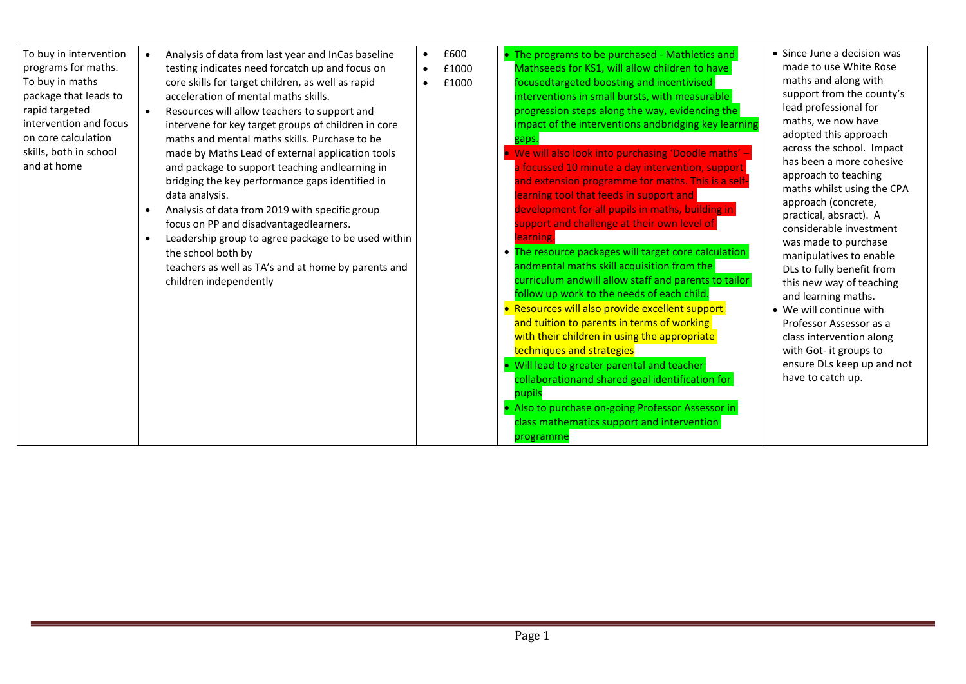| To buy in intervention<br>programs for maths.<br>To buy in maths<br>package that leads to<br>rapid targeted<br>intervention and focus<br>on core calculation<br>skills, both in school<br>and at home | $\bullet$<br>$\bullet$<br>$\bullet$<br>$\bullet$ | Analysis of data from last year and InCas baseline<br>testing indicates need forcatch up and focus on<br>core skills for target children, as well as rapid<br>acceleration of mental maths skills.<br>Resources will allow teachers to support and<br>intervene for key target groups of children in core<br>maths and mental maths skills. Purchase to be<br>made by Maths Lead of external application tools<br>and package to support teaching andlearning in<br>bridging the key performance gaps identified in<br>data analysis.<br>Analysis of data from 2019 with specific group<br>focus on PP and disadvantagedlearners.<br>Leadership group to agree package to be used within<br>the school both by<br>teachers as well as TA's and at home by parents and | $\bullet$<br>$\bullet$<br>$\bullet$ | £600<br>£1000<br>£1000 | • The programs to be purchased - Mathletics and<br>Mathseeds for KS1, will allow children to have<br>focusedtargeted boosting and incentivised<br>interventions in small bursts, with measurable<br>progression steps along the way, evidencing the<br>impact of the interventions andbridging key learning<br>gaps.<br>We will also look into purchasing 'Doodle maths' -<br>a focussed 10 minute a day intervention, support<br>and extension programme for maths. This is a self-<br>learning tool that feeds in support and<br>development for all pupils in maths, building in<br>support and challenge at their own level of<br>learning<br>• The resource packages will target core calculation<br>andmental maths skill acquisition from the | • Since June a decision was<br>made to use White Rose<br>maths and along with<br>support from the county's<br>lead professional for<br>maths, we now have<br>adopted this approach<br>across the school. Impact<br>has been a more cohesive<br>approach to teaching<br>maths whilst using the CPA<br>approach (concrete,<br>practical, absract). A<br>considerable investment<br>was made to purchase<br>manipulatives to enable<br>DLs to fully benefit from<br>this new way of teaching |
|-------------------------------------------------------------------------------------------------------------------------------------------------------------------------------------------------------|--------------------------------------------------|-----------------------------------------------------------------------------------------------------------------------------------------------------------------------------------------------------------------------------------------------------------------------------------------------------------------------------------------------------------------------------------------------------------------------------------------------------------------------------------------------------------------------------------------------------------------------------------------------------------------------------------------------------------------------------------------------------------------------------------------------------------------------|-------------------------------------|------------------------|------------------------------------------------------------------------------------------------------------------------------------------------------------------------------------------------------------------------------------------------------------------------------------------------------------------------------------------------------------------------------------------------------------------------------------------------------------------------------------------------------------------------------------------------------------------------------------------------------------------------------------------------------------------------------------------------------------------------------------------------------|-------------------------------------------------------------------------------------------------------------------------------------------------------------------------------------------------------------------------------------------------------------------------------------------------------------------------------------------------------------------------------------------------------------------------------------------------------------------------------------------|
|                                                                                                                                                                                                       |                                                  |                                                                                                                                                                                                                                                                                                                                                                                                                                                                                                                                                                                                                                                                                                                                                                       |                                     |                        |                                                                                                                                                                                                                                                                                                                                                                                                                                                                                                                                                                                                                                                                                                                                                      |                                                                                                                                                                                                                                                                                                                                                                                                                                                                                           |
|                                                                                                                                                                                                       |                                                  | children independently                                                                                                                                                                                                                                                                                                                                                                                                                                                                                                                                                                                                                                                                                                                                                |                                     |                        | curriculum andwill allow staff and parents to tailor<br>follow up work to the needs of each child.                                                                                                                                                                                                                                                                                                                                                                                                                                                                                                                                                                                                                                                   | and learning maths.                                                                                                                                                                                                                                                                                                                                                                                                                                                                       |
|                                                                                                                                                                                                       |                                                  |                                                                                                                                                                                                                                                                                                                                                                                                                                                                                                                                                                                                                                                                                                                                                                       |                                     |                        | • Resources will also provide excellent support<br>and tuition to parents in terms of working<br>with their children in using the appropriate<br>techniques and strategies                                                                                                                                                                                                                                                                                                                                                                                                                                                                                                                                                                           | • We will continue with<br>Professor Assessor as a<br>class intervention along<br>with Got- it groups to                                                                                                                                                                                                                                                                                                                                                                                  |
|                                                                                                                                                                                                       |                                                  |                                                                                                                                                                                                                                                                                                                                                                                                                                                                                                                                                                                                                                                                                                                                                                       |                                     |                        | Will lead to greater parental and teacher<br>collaborationand shared goal identification for<br>pupils<br>• Also to purchase on-going Professor Assessor in                                                                                                                                                                                                                                                                                                                                                                                                                                                                                                                                                                                          | ensure DLs keep up and not<br>have to catch up.                                                                                                                                                                                                                                                                                                                                                                                                                                           |
|                                                                                                                                                                                                       |                                                  |                                                                                                                                                                                                                                                                                                                                                                                                                                                                                                                                                                                                                                                                                                                                                                       |                                     |                        | class mathematics support and intervention<br>programme                                                                                                                                                                                                                                                                                                                                                                                                                                                                                                                                                                                                                                                                                              |                                                                                                                                                                                                                                                                                                                                                                                                                                                                                           |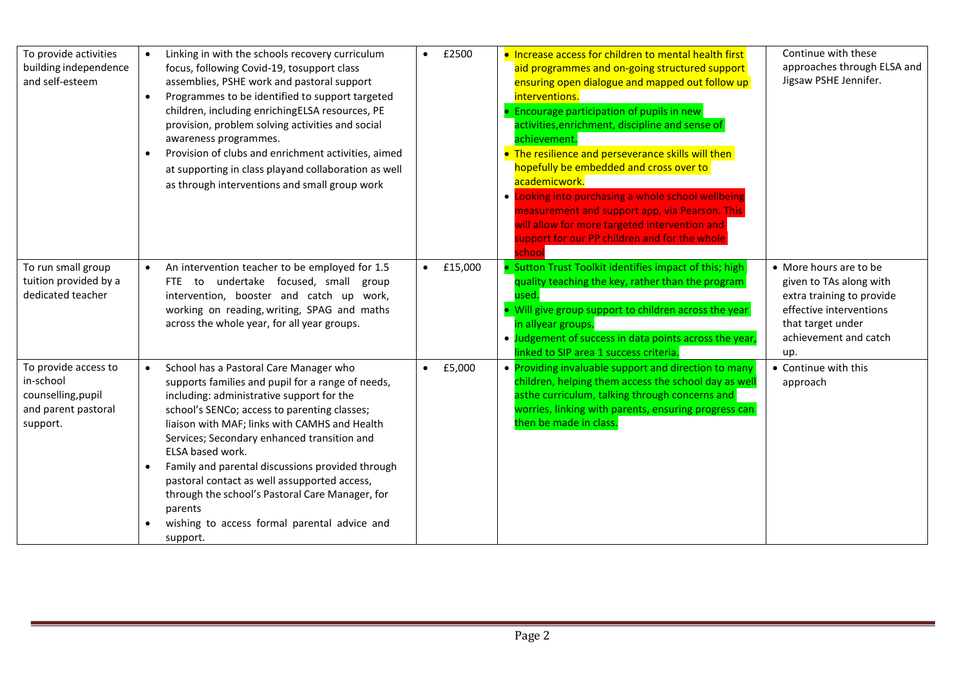| To provide activities<br>building independence<br>and self-esteem                          | $\bullet$<br>$\bullet$<br>$\bullet$ | Linking in with the schools recovery curriculum<br>focus, following Covid-19, tosupport class<br>assemblies, PSHE work and pastoral support<br>Programmes to be identified to support targeted<br>children, including enrichingELSA resources, PE<br>provision, problem solving activities and social<br>awareness programmes.<br>Provision of clubs and enrichment activities, aimed<br>at supporting in class playand collaboration as well<br>as through interventions and small group work                                             | $\bullet$ | £2500   | • Increase access for children to mental health first<br>aid programmes and on-going structured support<br>ensuring open dialogue and mapped out follow up<br>interventions.<br>• Encourage participation of pupils in new<br>activities, enrichment, discipline and sense of<br>achievement.<br>• The resilience and perseverance skills will then<br>hopefully be embedded and cross over to<br>academicwork.<br>• Looking into purchasing a whole school wellbeing<br>measurement and support app, via Pearson. This<br>will allow for more targeted intervention and<br>support for our PP children and for the whole<br>school | Continue with these<br>approaches through ELSA and<br>Jigsaw PSHE Jennifer.                                                                                    |
|--------------------------------------------------------------------------------------------|-------------------------------------|--------------------------------------------------------------------------------------------------------------------------------------------------------------------------------------------------------------------------------------------------------------------------------------------------------------------------------------------------------------------------------------------------------------------------------------------------------------------------------------------------------------------------------------------|-----------|---------|-------------------------------------------------------------------------------------------------------------------------------------------------------------------------------------------------------------------------------------------------------------------------------------------------------------------------------------------------------------------------------------------------------------------------------------------------------------------------------------------------------------------------------------------------------------------------------------------------------------------------------------|----------------------------------------------------------------------------------------------------------------------------------------------------------------|
| To run small group<br>tuition provided by a<br>dedicated teacher                           | $\bullet$                           | An intervention teacher to be employed for 1.5<br>FTE to undertake focused, small group<br>intervention, booster and catch up work,<br>working on reading, writing, SPAG and maths<br>across the whole year, for all year groups.                                                                                                                                                                                                                                                                                                          | $\bullet$ | £15,000 | • Sutton Trust Toolkit identifies impact of this; high<br>quality teaching the key, rather than the program<br>used.<br>. Will give group support to children across the year<br>in allyear groups.<br>. Judgement of success in data points across the year,<br>linked to SIP area 1 success criteria.                                                                                                                                                                                                                                                                                                                             | • More hours are to be<br>given to TAs along with<br>extra training to provide<br>effective interventions<br>that target under<br>achievement and catch<br>up. |
| To provide access to<br>in-school<br>counselling, pupil<br>and parent pastoral<br>support. | $\bullet$<br>$\bullet$              | School has a Pastoral Care Manager who<br>supports families and pupil for a range of needs,<br>including: administrative support for the<br>school's SENCo; access to parenting classes;<br>liaison with MAF; links with CAMHS and Health<br>Services; Secondary enhanced transition and<br>ELSA based work.<br>Family and parental discussions provided through<br>pastoral contact as well assupported access,<br>through the school's Pastoral Care Manager, for<br>parents<br>wishing to access formal parental advice and<br>support. | $\bullet$ | £5,000  | • Providing invaluable support and direction to many<br>children, helping them access the school day as well<br>asthe curriculum, talking through concerns and<br>worries, linking with parents, ensuring progress can<br>then be made in class.                                                                                                                                                                                                                                                                                                                                                                                    | • Continue with this<br>approach                                                                                                                               |